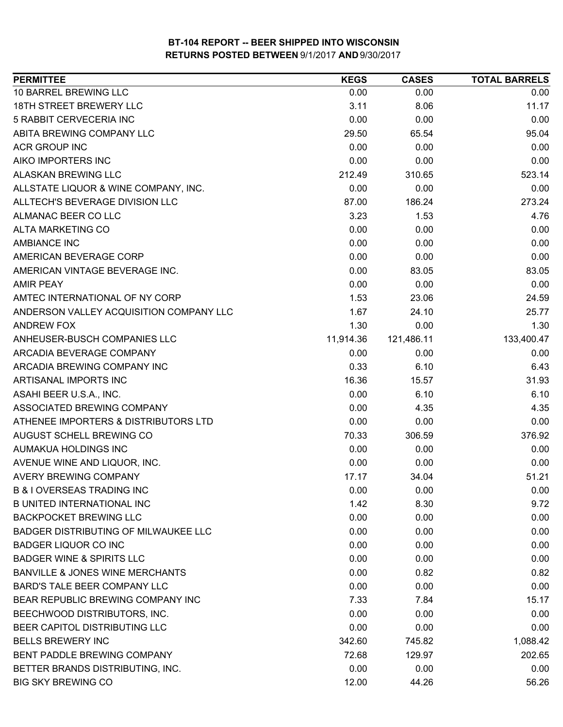| <b>PERMITTEE</b>                           | <b>KEGS</b> | <b>CASES</b> | <b>TOTAL BARRELS</b> |
|--------------------------------------------|-------------|--------------|----------------------|
| 10 BARREL BREWING LLC                      | 0.00        | 0.00         | 0.00                 |
| <b>18TH STREET BREWERY LLC</b>             | 3.11        | 8.06         | 11.17                |
| 5 RABBIT CERVECERIA INC                    | 0.00        | 0.00         | 0.00                 |
| ABITA BREWING COMPANY LLC                  | 29.50       | 65.54        | 95.04                |
| <b>ACR GROUP INC</b>                       | 0.00        | 0.00         | 0.00                 |
| AIKO IMPORTERS INC                         | 0.00        | 0.00         | 0.00                 |
| ALASKAN BREWING LLC                        | 212.49      | 310.65       | 523.14               |
| ALLSTATE LIQUOR & WINE COMPANY, INC.       | 0.00        | 0.00         | 0.00                 |
| ALLTECH'S BEVERAGE DIVISION LLC            | 87.00       | 186.24       | 273.24               |
| ALMANAC BEER CO LLC                        | 3.23        | 1.53         | 4.76                 |
| <b>ALTA MARKETING CO</b>                   | 0.00        | 0.00         | 0.00                 |
| <b>AMBIANCE INC</b>                        | 0.00        | 0.00         | 0.00                 |
| AMERICAN BEVERAGE CORP                     | 0.00        | 0.00         | 0.00                 |
| AMERICAN VINTAGE BEVERAGE INC.             | 0.00        | 83.05        | 83.05                |
| <b>AMIR PEAY</b>                           | 0.00        | 0.00         | 0.00                 |
| AMTEC INTERNATIONAL OF NY CORP             | 1.53        | 23.06        | 24.59                |
| ANDERSON VALLEY ACQUISITION COMPANY LLC    | 1.67        | 24.10        | 25.77                |
| ANDREW FOX                                 | 1.30        | 0.00         | 1.30                 |
| ANHEUSER-BUSCH COMPANIES LLC               | 11,914.36   | 121,486.11   | 133,400.47           |
| ARCADIA BEVERAGE COMPANY                   | 0.00        | 0.00         | 0.00                 |
| ARCADIA BREWING COMPANY INC                | 0.33        | 6.10         | 6.43                 |
| ARTISANAL IMPORTS INC                      | 16.36       | 15.57        | 31.93                |
| ASAHI BEER U.S.A., INC.                    | 0.00        | 6.10         | 6.10                 |
| ASSOCIATED BREWING COMPANY                 | 0.00        | 4.35         | 4.35                 |
| ATHENEE IMPORTERS & DISTRIBUTORS LTD       | 0.00        | 0.00         | 0.00                 |
| AUGUST SCHELL BREWING CO                   | 70.33       | 306.59       | 376.92               |
| AUMAKUA HOLDINGS INC                       | 0.00        | 0.00         | 0.00                 |
| AVENUE WINE AND LIQUOR, INC.               | 0.00        | 0.00         | 0.00                 |
| <b>AVERY BREWING COMPANY</b>               | 17.17       | 34.04        | 51.21                |
| <b>B &amp; I OVERSEAS TRADING INC</b>      | 0.00        | 0.00         | 0.00                 |
| <b>B UNITED INTERNATIONAL INC</b>          | 1.42        | 8.30         | 9.72                 |
| <b>BACKPOCKET BREWING LLC</b>              | 0.00        | 0.00         | 0.00                 |
| BADGER DISTRIBUTING OF MILWAUKEE LLC       | 0.00        | 0.00         | 0.00                 |
| <b>BADGER LIQUOR CO INC</b>                | 0.00        | 0.00         | 0.00                 |
| <b>BADGER WINE &amp; SPIRITS LLC</b>       | 0.00        | 0.00         | 0.00                 |
| <b>BANVILLE &amp; JONES WINE MERCHANTS</b> | 0.00        | 0.82         | 0.82                 |
| <b>BARD'S TALE BEER COMPANY LLC</b>        | 0.00        | 0.00         | 0.00                 |
| BEAR REPUBLIC BREWING COMPANY INC          | 7.33        | 7.84         | 15.17                |
| BEECHWOOD DISTRIBUTORS, INC.               | 0.00        | 0.00         | 0.00                 |
| BEER CAPITOL DISTRIBUTING LLC              | 0.00        | 0.00         | 0.00                 |
| <b>BELLS BREWERY INC</b>                   | 342.60      | 745.82       | 1,088.42             |
| BENT PADDLE BREWING COMPANY                | 72.68       | 129.97       | 202.65               |
| BETTER BRANDS DISTRIBUTING, INC.           | 0.00        | 0.00         | 0.00                 |
| <b>BIG SKY BREWING CO</b>                  | 12.00       | 44.26        | 56.26                |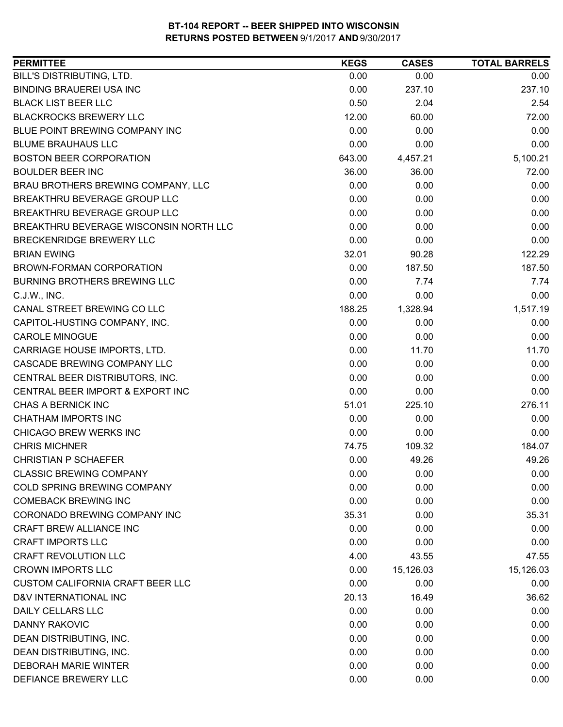| 0.00<br>0.00<br>0.00<br>0.00<br>237.10<br>237.10<br>0.50<br>2.04<br>2.54<br>12.00<br>60.00<br>72.00<br>0.00<br>0.00<br>0.00<br>0.00<br>0.00<br>0.00<br>5,100.21<br>643.00<br>4,457.21<br>36.00<br>36.00<br>72.00<br>0.00<br>0.00<br>0.00<br>0.00<br>0.00<br>0.00<br>0.00<br>0.00<br>0.00<br>0.00<br>0.00<br>0.00<br>0.00<br>0.00<br>0.00<br>32.01<br>90.28<br>122.29<br>0.00<br>187.50<br>187.50<br>0.00<br>7.74<br>7.74<br>0.00<br>0.00<br>0.00<br>188.25<br>1,517.19<br>1,328.94<br>0.00<br>0.00<br>0.00<br>0.00<br>0.00<br>0.00<br>0.00<br>11.70<br>11.70<br>0.00<br>0.00<br>0.00<br>0.00<br>0.00<br>0.00<br>0.00<br>0.00<br>0.00<br>276.11<br>51.01<br>225.10<br>0.00<br>0.00<br>0.00<br>0.00<br>0.00<br>0.00<br>74.75<br>109.32<br>184.07<br>0.00<br>49.26<br>49.26<br>0.00<br>0.00<br>0.00<br>0.00<br>0.00<br>0.00<br>0.00<br>0.00<br>0.00<br>35.31<br>0.00<br>35.31<br>0.00<br>0.00<br>0.00<br>0.00<br>0.00<br>0.00<br>4.00<br>47.55<br>43.55<br>0.00<br>15,126.03<br>15,126.03<br>0.00<br>0.00<br>0.00<br>20.13<br>16.49<br>36.62<br>0.00<br>0.00<br>0.00<br>0.00<br>0.00<br>0.00 | <b>PERMITTEE</b>                        | <b>KEGS</b> | <b>CASES</b> | <b>TOTAL BARRELS</b> |
|-------------------------------------------------------------------------------------------------------------------------------------------------------------------------------------------------------------------------------------------------------------------------------------------------------------------------------------------------------------------------------------------------------------------------------------------------------------------------------------------------------------------------------------------------------------------------------------------------------------------------------------------------------------------------------------------------------------------------------------------------------------------------------------------------------------------------------------------------------------------------------------------------------------------------------------------------------------------------------------------------------------------------------------------------------------------------------------------|-----------------------------------------|-------------|--------------|----------------------|
|                                                                                                                                                                                                                                                                                                                                                                                                                                                                                                                                                                                                                                                                                                                                                                                                                                                                                                                                                                                                                                                                                           | BILL'S DISTRIBUTING, LTD.               |             |              |                      |
|                                                                                                                                                                                                                                                                                                                                                                                                                                                                                                                                                                                                                                                                                                                                                                                                                                                                                                                                                                                                                                                                                           | <b>BINDING BRAUEREI USA INC</b>         |             |              |                      |
|                                                                                                                                                                                                                                                                                                                                                                                                                                                                                                                                                                                                                                                                                                                                                                                                                                                                                                                                                                                                                                                                                           | <b>BLACK LIST BEER LLC</b>              |             |              |                      |
|                                                                                                                                                                                                                                                                                                                                                                                                                                                                                                                                                                                                                                                                                                                                                                                                                                                                                                                                                                                                                                                                                           | <b>BLACKROCKS BREWERY LLC</b>           |             |              |                      |
|                                                                                                                                                                                                                                                                                                                                                                                                                                                                                                                                                                                                                                                                                                                                                                                                                                                                                                                                                                                                                                                                                           | BLUE POINT BREWING COMPANY INC          |             |              |                      |
|                                                                                                                                                                                                                                                                                                                                                                                                                                                                                                                                                                                                                                                                                                                                                                                                                                                                                                                                                                                                                                                                                           | <b>BLUME BRAUHAUS LLC</b>               |             |              |                      |
|                                                                                                                                                                                                                                                                                                                                                                                                                                                                                                                                                                                                                                                                                                                                                                                                                                                                                                                                                                                                                                                                                           | <b>BOSTON BEER CORPORATION</b>          |             |              |                      |
|                                                                                                                                                                                                                                                                                                                                                                                                                                                                                                                                                                                                                                                                                                                                                                                                                                                                                                                                                                                                                                                                                           | <b>BOULDER BEER INC</b>                 |             |              |                      |
|                                                                                                                                                                                                                                                                                                                                                                                                                                                                                                                                                                                                                                                                                                                                                                                                                                                                                                                                                                                                                                                                                           | BRAU BROTHERS BREWING COMPANY, LLC      |             |              |                      |
|                                                                                                                                                                                                                                                                                                                                                                                                                                                                                                                                                                                                                                                                                                                                                                                                                                                                                                                                                                                                                                                                                           | BREAKTHRU BEVERAGE GROUP LLC            |             |              |                      |
|                                                                                                                                                                                                                                                                                                                                                                                                                                                                                                                                                                                                                                                                                                                                                                                                                                                                                                                                                                                                                                                                                           | BREAKTHRU BEVERAGE GROUP LLC            |             |              |                      |
|                                                                                                                                                                                                                                                                                                                                                                                                                                                                                                                                                                                                                                                                                                                                                                                                                                                                                                                                                                                                                                                                                           | BREAKTHRU BEVERAGE WISCONSIN NORTH LLC  |             |              |                      |
|                                                                                                                                                                                                                                                                                                                                                                                                                                                                                                                                                                                                                                                                                                                                                                                                                                                                                                                                                                                                                                                                                           | BRECKENRIDGE BREWERY LLC                |             |              |                      |
|                                                                                                                                                                                                                                                                                                                                                                                                                                                                                                                                                                                                                                                                                                                                                                                                                                                                                                                                                                                                                                                                                           | <b>BRIAN EWING</b>                      |             |              |                      |
|                                                                                                                                                                                                                                                                                                                                                                                                                                                                                                                                                                                                                                                                                                                                                                                                                                                                                                                                                                                                                                                                                           | <b>BROWN-FORMAN CORPORATION</b>         |             |              |                      |
|                                                                                                                                                                                                                                                                                                                                                                                                                                                                                                                                                                                                                                                                                                                                                                                                                                                                                                                                                                                                                                                                                           | <b>BURNING BROTHERS BREWING LLC</b>     |             |              |                      |
|                                                                                                                                                                                                                                                                                                                                                                                                                                                                                                                                                                                                                                                                                                                                                                                                                                                                                                                                                                                                                                                                                           | C.J.W., INC.                            |             |              |                      |
|                                                                                                                                                                                                                                                                                                                                                                                                                                                                                                                                                                                                                                                                                                                                                                                                                                                                                                                                                                                                                                                                                           | CANAL STREET BREWING CO LLC             |             |              |                      |
|                                                                                                                                                                                                                                                                                                                                                                                                                                                                                                                                                                                                                                                                                                                                                                                                                                                                                                                                                                                                                                                                                           | CAPITOL-HUSTING COMPANY, INC.           |             |              |                      |
|                                                                                                                                                                                                                                                                                                                                                                                                                                                                                                                                                                                                                                                                                                                                                                                                                                                                                                                                                                                                                                                                                           | <b>CAROLE MINOGUE</b>                   |             |              |                      |
|                                                                                                                                                                                                                                                                                                                                                                                                                                                                                                                                                                                                                                                                                                                                                                                                                                                                                                                                                                                                                                                                                           | CARRIAGE HOUSE IMPORTS, LTD.            |             |              |                      |
|                                                                                                                                                                                                                                                                                                                                                                                                                                                                                                                                                                                                                                                                                                                                                                                                                                                                                                                                                                                                                                                                                           | CASCADE BREWING COMPANY LLC             |             |              |                      |
|                                                                                                                                                                                                                                                                                                                                                                                                                                                                                                                                                                                                                                                                                                                                                                                                                                                                                                                                                                                                                                                                                           | CENTRAL BEER DISTRIBUTORS, INC.         |             |              |                      |
|                                                                                                                                                                                                                                                                                                                                                                                                                                                                                                                                                                                                                                                                                                                                                                                                                                                                                                                                                                                                                                                                                           | CENTRAL BEER IMPORT & EXPORT INC        |             |              |                      |
|                                                                                                                                                                                                                                                                                                                                                                                                                                                                                                                                                                                                                                                                                                                                                                                                                                                                                                                                                                                                                                                                                           | CHAS A BERNICK INC                      |             |              |                      |
|                                                                                                                                                                                                                                                                                                                                                                                                                                                                                                                                                                                                                                                                                                                                                                                                                                                                                                                                                                                                                                                                                           | <b>CHATHAM IMPORTS INC</b>              |             |              |                      |
|                                                                                                                                                                                                                                                                                                                                                                                                                                                                                                                                                                                                                                                                                                                                                                                                                                                                                                                                                                                                                                                                                           | CHICAGO BREW WERKS INC                  |             |              |                      |
|                                                                                                                                                                                                                                                                                                                                                                                                                                                                                                                                                                                                                                                                                                                                                                                                                                                                                                                                                                                                                                                                                           | <b>CHRIS MICHNER</b>                    |             |              |                      |
|                                                                                                                                                                                                                                                                                                                                                                                                                                                                                                                                                                                                                                                                                                                                                                                                                                                                                                                                                                                                                                                                                           | <b>CHRISTIAN P SCHAEFER</b>             |             |              |                      |
|                                                                                                                                                                                                                                                                                                                                                                                                                                                                                                                                                                                                                                                                                                                                                                                                                                                                                                                                                                                                                                                                                           | <b>CLASSIC BREWING COMPANY</b>          |             |              |                      |
|                                                                                                                                                                                                                                                                                                                                                                                                                                                                                                                                                                                                                                                                                                                                                                                                                                                                                                                                                                                                                                                                                           | <b>COLD SPRING BREWING COMPANY</b>      |             |              |                      |
|                                                                                                                                                                                                                                                                                                                                                                                                                                                                                                                                                                                                                                                                                                                                                                                                                                                                                                                                                                                                                                                                                           | <b>COMEBACK BREWING INC</b>             |             |              |                      |
|                                                                                                                                                                                                                                                                                                                                                                                                                                                                                                                                                                                                                                                                                                                                                                                                                                                                                                                                                                                                                                                                                           | CORONADO BREWING COMPANY INC            |             |              |                      |
|                                                                                                                                                                                                                                                                                                                                                                                                                                                                                                                                                                                                                                                                                                                                                                                                                                                                                                                                                                                                                                                                                           | CRAFT BREW ALLIANCE INC                 |             |              |                      |
|                                                                                                                                                                                                                                                                                                                                                                                                                                                                                                                                                                                                                                                                                                                                                                                                                                                                                                                                                                                                                                                                                           | <b>CRAFT IMPORTS LLC</b>                |             |              |                      |
|                                                                                                                                                                                                                                                                                                                                                                                                                                                                                                                                                                                                                                                                                                                                                                                                                                                                                                                                                                                                                                                                                           | <b>CRAFT REVOLUTION LLC</b>             |             |              |                      |
|                                                                                                                                                                                                                                                                                                                                                                                                                                                                                                                                                                                                                                                                                                                                                                                                                                                                                                                                                                                                                                                                                           | <b>CROWN IMPORTS LLC</b>                |             |              |                      |
|                                                                                                                                                                                                                                                                                                                                                                                                                                                                                                                                                                                                                                                                                                                                                                                                                                                                                                                                                                                                                                                                                           | <b>CUSTOM CALIFORNIA CRAFT BEER LLC</b> |             |              |                      |
|                                                                                                                                                                                                                                                                                                                                                                                                                                                                                                                                                                                                                                                                                                                                                                                                                                                                                                                                                                                                                                                                                           | D&V INTERNATIONAL INC                   |             |              |                      |
|                                                                                                                                                                                                                                                                                                                                                                                                                                                                                                                                                                                                                                                                                                                                                                                                                                                                                                                                                                                                                                                                                           | DAILY CELLARS LLC                       |             |              |                      |
|                                                                                                                                                                                                                                                                                                                                                                                                                                                                                                                                                                                                                                                                                                                                                                                                                                                                                                                                                                                                                                                                                           | <b>DANNY RAKOVIC</b>                    |             |              |                      |
| 0.00<br>0.00<br>0.00                                                                                                                                                                                                                                                                                                                                                                                                                                                                                                                                                                                                                                                                                                                                                                                                                                                                                                                                                                                                                                                                      | DEAN DISTRIBUTING, INC.                 |             |              |                      |
| 0.00<br>0.00<br>0.00                                                                                                                                                                                                                                                                                                                                                                                                                                                                                                                                                                                                                                                                                                                                                                                                                                                                                                                                                                                                                                                                      | DEAN DISTRIBUTING, INC.                 |             |              |                      |
| 0.00<br>0.00<br>0.00                                                                                                                                                                                                                                                                                                                                                                                                                                                                                                                                                                                                                                                                                                                                                                                                                                                                                                                                                                                                                                                                      | <b>DEBORAH MARIE WINTER</b>             |             |              |                      |
| 0.00<br>0.00<br>0.00                                                                                                                                                                                                                                                                                                                                                                                                                                                                                                                                                                                                                                                                                                                                                                                                                                                                                                                                                                                                                                                                      | DEFIANCE BREWERY LLC                    |             |              |                      |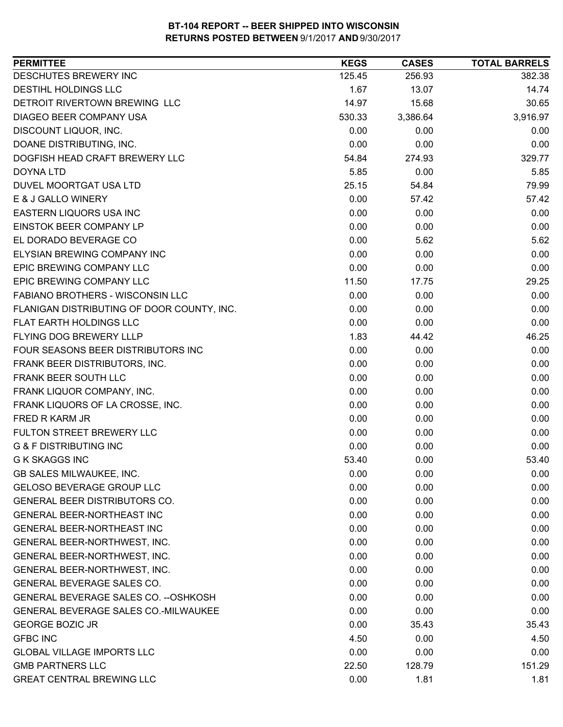| DESCHUTES BREWERY INC<br>256.93<br>125.45<br>382.38<br>DESTIHL HOLDINGS LLC<br>1.67<br>13.07<br>14.74<br>DETROIT RIVERTOWN BREWING LLC<br>14.97<br>30.65<br>15.68<br>3,916.97<br>DIAGEO BEER COMPANY USA<br>530.33<br>3,386.64<br>0.00<br>DISCOUNT LIQUOR, INC.<br>0.00<br>0.00<br>DOANE DISTRIBUTING, INC.<br>0.00<br>0.00<br>0.00<br>DOGFISH HEAD CRAFT BREWERY LLC<br>54.84<br>274.93<br>329.77<br>5.85<br>0.00<br>5.85<br>DOYNA LTD<br>25.15<br>79.99<br>DUVEL MOORTGAT USA LTD<br>54.84<br>E & J GALLO WINERY<br>0.00<br>57.42<br>57.42<br>0.00<br>0.00<br>EASTERN LIQUORS USA INC<br>0.00<br>EINSTOK BEER COMPANY LP<br>0.00<br>0.00<br>0.00<br>0.00<br>5.62<br>EL DORADO BEVERAGE CO<br>5.62<br>ELYSIAN BREWING COMPANY INC<br>0.00<br>0.00<br>0.00<br>EPIC BREWING COMPANY LLC<br>0.00<br>0.00<br>0.00<br>EPIC BREWING COMPANY LLC<br>11.50<br>29.25<br>17.75<br>0.00<br>FABIANO BROTHERS - WISCONSIN LLC<br>0.00<br>0.00<br>FLANIGAN DISTRIBUTING OF DOOR COUNTY, INC.<br>0.00<br>0.00<br>0.00<br>FLAT EARTH HOLDINGS LLC<br>0.00<br>0.00<br>0.00<br>FLYING DOG BREWERY LLLP<br>1.83<br>44.42<br>46.25<br>0.00<br>FOUR SEASONS BEER DISTRIBUTORS INC<br>0.00<br>0.00<br>FRANK BEER DISTRIBUTORS, INC.<br>0.00<br>0.00<br>0.00<br>FRANK BEER SOUTH LLC<br>0.00<br>0.00<br>0.00<br>FRANK LIQUOR COMPANY, INC.<br>0.00<br>0.00<br>0.00<br>0.00<br>0.00<br>0.00<br>FRANK LIQUORS OF LA CROSSE, INC.<br>0.00<br>0.00<br>FRED R KARM JR<br>0.00<br>FULTON STREET BREWERY LLC<br>0.00<br>0.00<br>0.00<br><b>G &amp; F DISTRIBUTING INC</b><br>0.00<br>0.00<br>0.00<br><b>G K SKAGGS INC</b><br>53.40<br>0.00<br>53.40<br>GB SALES MILWAUKEE, INC.<br>0.00<br>0.00<br>0.00<br>0.00<br><b>GELOSO BEVERAGE GROUP LLC</b><br>0.00<br>0.00<br><b>GENERAL BEER DISTRIBUTORS CO.</b><br>0.00<br>0.00<br>0.00<br>GENERAL BEER-NORTHEAST INC<br>0.00<br>0.00<br>0.00<br><b>GENERAL BEER-NORTHEAST INC</b><br>0.00<br>0.00<br>0.00<br>0.00<br>0.00<br>GENERAL BEER-NORTHWEST, INC.<br>0.00<br>GENERAL BEER-NORTHWEST, INC.<br>0.00<br>0.00<br>0.00<br>GENERAL BEER-NORTHWEST, INC.<br>0.00<br>0.00<br>0.00<br>GENERAL BEVERAGE SALES CO.<br>0.00<br>0.00<br>0.00<br>GENERAL BEVERAGE SALES CO. -- OSHKOSH<br>0.00<br>0.00<br>0.00<br>GENERAL BEVERAGE SALES CO.-MILWAUKEE<br>0.00<br>0.00<br>0.00<br><b>GEORGE BOZIC JR</b><br>0.00<br>35.43<br>35.43<br><b>GFBC INC</b><br>4.50<br>0.00<br>4.50<br><b>GLOBAL VILLAGE IMPORTS LLC</b><br>0.00<br>0.00<br>0.00<br><b>GMB PARTNERS LLC</b><br>151.29<br>22.50<br>128.79<br><b>GREAT CENTRAL BREWING LLC</b><br>0.00<br>1.81<br>1.81 | <b>PERMITTEE</b> | <b>KEGS</b> | <b>CASES</b> | <b>TOTAL BARRELS</b> |
|---------------------------------------------------------------------------------------------------------------------------------------------------------------------------------------------------------------------------------------------------------------------------------------------------------------------------------------------------------------------------------------------------------------------------------------------------------------------------------------------------------------------------------------------------------------------------------------------------------------------------------------------------------------------------------------------------------------------------------------------------------------------------------------------------------------------------------------------------------------------------------------------------------------------------------------------------------------------------------------------------------------------------------------------------------------------------------------------------------------------------------------------------------------------------------------------------------------------------------------------------------------------------------------------------------------------------------------------------------------------------------------------------------------------------------------------------------------------------------------------------------------------------------------------------------------------------------------------------------------------------------------------------------------------------------------------------------------------------------------------------------------------------------------------------------------------------------------------------------------------------------------------------------------------------------------------------------------------------------------------------------------------------------------------------------------------------------------------------------------------------------------------------------------------------------------------------------------------------------------------------------------------------------------------------------------------------------------------------------------------------------------------------------------------------------------------------------------------------------------------------------------------------------------------------------------------------|------------------|-------------|--------------|----------------------|
|                                                                                                                                                                                                                                                                                                                                                                                                                                                                                                                                                                                                                                                                                                                                                                                                                                                                                                                                                                                                                                                                                                                                                                                                                                                                                                                                                                                                                                                                                                                                                                                                                                                                                                                                                                                                                                                                                                                                                                                                                                                                                                                                                                                                                                                                                                                                                                                                                                                                                                                                                                           |                  |             |              |                      |
|                                                                                                                                                                                                                                                                                                                                                                                                                                                                                                                                                                                                                                                                                                                                                                                                                                                                                                                                                                                                                                                                                                                                                                                                                                                                                                                                                                                                                                                                                                                                                                                                                                                                                                                                                                                                                                                                                                                                                                                                                                                                                                                                                                                                                                                                                                                                                                                                                                                                                                                                                                           |                  |             |              |                      |
|                                                                                                                                                                                                                                                                                                                                                                                                                                                                                                                                                                                                                                                                                                                                                                                                                                                                                                                                                                                                                                                                                                                                                                                                                                                                                                                                                                                                                                                                                                                                                                                                                                                                                                                                                                                                                                                                                                                                                                                                                                                                                                                                                                                                                                                                                                                                                                                                                                                                                                                                                                           |                  |             |              |                      |
|                                                                                                                                                                                                                                                                                                                                                                                                                                                                                                                                                                                                                                                                                                                                                                                                                                                                                                                                                                                                                                                                                                                                                                                                                                                                                                                                                                                                                                                                                                                                                                                                                                                                                                                                                                                                                                                                                                                                                                                                                                                                                                                                                                                                                                                                                                                                                                                                                                                                                                                                                                           |                  |             |              |                      |
|                                                                                                                                                                                                                                                                                                                                                                                                                                                                                                                                                                                                                                                                                                                                                                                                                                                                                                                                                                                                                                                                                                                                                                                                                                                                                                                                                                                                                                                                                                                                                                                                                                                                                                                                                                                                                                                                                                                                                                                                                                                                                                                                                                                                                                                                                                                                                                                                                                                                                                                                                                           |                  |             |              |                      |
|                                                                                                                                                                                                                                                                                                                                                                                                                                                                                                                                                                                                                                                                                                                                                                                                                                                                                                                                                                                                                                                                                                                                                                                                                                                                                                                                                                                                                                                                                                                                                                                                                                                                                                                                                                                                                                                                                                                                                                                                                                                                                                                                                                                                                                                                                                                                                                                                                                                                                                                                                                           |                  |             |              |                      |
|                                                                                                                                                                                                                                                                                                                                                                                                                                                                                                                                                                                                                                                                                                                                                                                                                                                                                                                                                                                                                                                                                                                                                                                                                                                                                                                                                                                                                                                                                                                                                                                                                                                                                                                                                                                                                                                                                                                                                                                                                                                                                                                                                                                                                                                                                                                                                                                                                                                                                                                                                                           |                  |             |              |                      |
|                                                                                                                                                                                                                                                                                                                                                                                                                                                                                                                                                                                                                                                                                                                                                                                                                                                                                                                                                                                                                                                                                                                                                                                                                                                                                                                                                                                                                                                                                                                                                                                                                                                                                                                                                                                                                                                                                                                                                                                                                                                                                                                                                                                                                                                                                                                                                                                                                                                                                                                                                                           |                  |             |              |                      |
|                                                                                                                                                                                                                                                                                                                                                                                                                                                                                                                                                                                                                                                                                                                                                                                                                                                                                                                                                                                                                                                                                                                                                                                                                                                                                                                                                                                                                                                                                                                                                                                                                                                                                                                                                                                                                                                                                                                                                                                                                                                                                                                                                                                                                                                                                                                                                                                                                                                                                                                                                                           |                  |             |              |                      |
|                                                                                                                                                                                                                                                                                                                                                                                                                                                                                                                                                                                                                                                                                                                                                                                                                                                                                                                                                                                                                                                                                                                                                                                                                                                                                                                                                                                                                                                                                                                                                                                                                                                                                                                                                                                                                                                                                                                                                                                                                                                                                                                                                                                                                                                                                                                                                                                                                                                                                                                                                                           |                  |             |              |                      |
|                                                                                                                                                                                                                                                                                                                                                                                                                                                                                                                                                                                                                                                                                                                                                                                                                                                                                                                                                                                                                                                                                                                                                                                                                                                                                                                                                                                                                                                                                                                                                                                                                                                                                                                                                                                                                                                                                                                                                                                                                                                                                                                                                                                                                                                                                                                                                                                                                                                                                                                                                                           |                  |             |              |                      |
|                                                                                                                                                                                                                                                                                                                                                                                                                                                                                                                                                                                                                                                                                                                                                                                                                                                                                                                                                                                                                                                                                                                                                                                                                                                                                                                                                                                                                                                                                                                                                                                                                                                                                                                                                                                                                                                                                                                                                                                                                                                                                                                                                                                                                                                                                                                                                                                                                                                                                                                                                                           |                  |             |              |                      |
|                                                                                                                                                                                                                                                                                                                                                                                                                                                                                                                                                                                                                                                                                                                                                                                                                                                                                                                                                                                                                                                                                                                                                                                                                                                                                                                                                                                                                                                                                                                                                                                                                                                                                                                                                                                                                                                                                                                                                                                                                                                                                                                                                                                                                                                                                                                                                                                                                                                                                                                                                                           |                  |             |              |                      |
|                                                                                                                                                                                                                                                                                                                                                                                                                                                                                                                                                                                                                                                                                                                                                                                                                                                                                                                                                                                                                                                                                                                                                                                                                                                                                                                                                                                                                                                                                                                                                                                                                                                                                                                                                                                                                                                                                                                                                                                                                                                                                                                                                                                                                                                                                                                                                                                                                                                                                                                                                                           |                  |             |              |                      |
|                                                                                                                                                                                                                                                                                                                                                                                                                                                                                                                                                                                                                                                                                                                                                                                                                                                                                                                                                                                                                                                                                                                                                                                                                                                                                                                                                                                                                                                                                                                                                                                                                                                                                                                                                                                                                                                                                                                                                                                                                                                                                                                                                                                                                                                                                                                                                                                                                                                                                                                                                                           |                  |             |              |                      |
|                                                                                                                                                                                                                                                                                                                                                                                                                                                                                                                                                                                                                                                                                                                                                                                                                                                                                                                                                                                                                                                                                                                                                                                                                                                                                                                                                                                                                                                                                                                                                                                                                                                                                                                                                                                                                                                                                                                                                                                                                                                                                                                                                                                                                                                                                                                                                                                                                                                                                                                                                                           |                  |             |              |                      |
|                                                                                                                                                                                                                                                                                                                                                                                                                                                                                                                                                                                                                                                                                                                                                                                                                                                                                                                                                                                                                                                                                                                                                                                                                                                                                                                                                                                                                                                                                                                                                                                                                                                                                                                                                                                                                                                                                                                                                                                                                                                                                                                                                                                                                                                                                                                                                                                                                                                                                                                                                                           |                  |             |              |                      |
|                                                                                                                                                                                                                                                                                                                                                                                                                                                                                                                                                                                                                                                                                                                                                                                                                                                                                                                                                                                                                                                                                                                                                                                                                                                                                                                                                                                                                                                                                                                                                                                                                                                                                                                                                                                                                                                                                                                                                                                                                                                                                                                                                                                                                                                                                                                                                                                                                                                                                                                                                                           |                  |             |              |                      |
|                                                                                                                                                                                                                                                                                                                                                                                                                                                                                                                                                                                                                                                                                                                                                                                                                                                                                                                                                                                                                                                                                                                                                                                                                                                                                                                                                                                                                                                                                                                                                                                                                                                                                                                                                                                                                                                                                                                                                                                                                                                                                                                                                                                                                                                                                                                                                                                                                                                                                                                                                                           |                  |             |              |                      |
|                                                                                                                                                                                                                                                                                                                                                                                                                                                                                                                                                                                                                                                                                                                                                                                                                                                                                                                                                                                                                                                                                                                                                                                                                                                                                                                                                                                                                                                                                                                                                                                                                                                                                                                                                                                                                                                                                                                                                                                                                                                                                                                                                                                                                                                                                                                                                                                                                                                                                                                                                                           |                  |             |              |                      |
|                                                                                                                                                                                                                                                                                                                                                                                                                                                                                                                                                                                                                                                                                                                                                                                                                                                                                                                                                                                                                                                                                                                                                                                                                                                                                                                                                                                                                                                                                                                                                                                                                                                                                                                                                                                                                                                                                                                                                                                                                                                                                                                                                                                                                                                                                                                                                                                                                                                                                                                                                                           |                  |             |              |                      |
|                                                                                                                                                                                                                                                                                                                                                                                                                                                                                                                                                                                                                                                                                                                                                                                                                                                                                                                                                                                                                                                                                                                                                                                                                                                                                                                                                                                                                                                                                                                                                                                                                                                                                                                                                                                                                                                                                                                                                                                                                                                                                                                                                                                                                                                                                                                                                                                                                                                                                                                                                                           |                  |             |              |                      |
|                                                                                                                                                                                                                                                                                                                                                                                                                                                                                                                                                                                                                                                                                                                                                                                                                                                                                                                                                                                                                                                                                                                                                                                                                                                                                                                                                                                                                                                                                                                                                                                                                                                                                                                                                                                                                                                                                                                                                                                                                                                                                                                                                                                                                                                                                                                                                                                                                                                                                                                                                                           |                  |             |              |                      |
|                                                                                                                                                                                                                                                                                                                                                                                                                                                                                                                                                                                                                                                                                                                                                                                                                                                                                                                                                                                                                                                                                                                                                                                                                                                                                                                                                                                                                                                                                                                                                                                                                                                                                                                                                                                                                                                                                                                                                                                                                                                                                                                                                                                                                                                                                                                                                                                                                                                                                                                                                                           |                  |             |              |                      |
|                                                                                                                                                                                                                                                                                                                                                                                                                                                                                                                                                                                                                                                                                                                                                                                                                                                                                                                                                                                                                                                                                                                                                                                                                                                                                                                                                                                                                                                                                                                                                                                                                                                                                                                                                                                                                                                                                                                                                                                                                                                                                                                                                                                                                                                                                                                                                                                                                                                                                                                                                                           |                  |             |              |                      |
|                                                                                                                                                                                                                                                                                                                                                                                                                                                                                                                                                                                                                                                                                                                                                                                                                                                                                                                                                                                                                                                                                                                                                                                                                                                                                                                                                                                                                                                                                                                                                                                                                                                                                                                                                                                                                                                                                                                                                                                                                                                                                                                                                                                                                                                                                                                                                                                                                                                                                                                                                                           |                  |             |              |                      |
|                                                                                                                                                                                                                                                                                                                                                                                                                                                                                                                                                                                                                                                                                                                                                                                                                                                                                                                                                                                                                                                                                                                                                                                                                                                                                                                                                                                                                                                                                                                                                                                                                                                                                                                                                                                                                                                                                                                                                                                                                                                                                                                                                                                                                                                                                                                                                                                                                                                                                                                                                                           |                  |             |              |                      |
|                                                                                                                                                                                                                                                                                                                                                                                                                                                                                                                                                                                                                                                                                                                                                                                                                                                                                                                                                                                                                                                                                                                                                                                                                                                                                                                                                                                                                                                                                                                                                                                                                                                                                                                                                                                                                                                                                                                                                                                                                                                                                                                                                                                                                                                                                                                                                                                                                                                                                                                                                                           |                  |             |              |                      |
|                                                                                                                                                                                                                                                                                                                                                                                                                                                                                                                                                                                                                                                                                                                                                                                                                                                                                                                                                                                                                                                                                                                                                                                                                                                                                                                                                                                                                                                                                                                                                                                                                                                                                                                                                                                                                                                                                                                                                                                                                                                                                                                                                                                                                                                                                                                                                                                                                                                                                                                                                                           |                  |             |              |                      |
|                                                                                                                                                                                                                                                                                                                                                                                                                                                                                                                                                                                                                                                                                                                                                                                                                                                                                                                                                                                                                                                                                                                                                                                                                                                                                                                                                                                                                                                                                                                                                                                                                                                                                                                                                                                                                                                                                                                                                                                                                                                                                                                                                                                                                                                                                                                                                                                                                                                                                                                                                                           |                  |             |              |                      |
|                                                                                                                                                                                                                                                                                                                                                                                                                                                                                                                                                                                                                                                                                                                                                                                                                                                                                                                                                                                                                                                                                                                                                                                                                                                                                                                                                                                                                                                                                                                                                                                                                                                                                                                                                                                                                                                                                                                                                                                                                                                                                                                                                                                                                                                                                                                                                                                                                                                                                                                                                                           |                  |             |              |                      |
|                                                                                                                                                                                                                                                                                                                                                                                                                                                                                                                                                                                                                                                                                                                                                                                                                                                                                                                                                                                                                                                                                                                                                                                                                                                                                                                                                                                                                                                                                                                                                                                                                                                                                                                                                                                                                                                                                                                                                                                                                                                                                                                                                                                                                                                                                                                                                                                                                                                                                                                                                                           |                  |             |              |                      |
|                                                                                                                                                                                                                                                                                                                                                                                                                                                                                                                                                                                                                                                                                                                                                                                                                                                                                                                                                                                                                                                                                                                                                                                                                                                                                                                                                                                                                                                                                                                                                                                                                                                                                                                                                                                                                                                                                                                                                                                                                                                                                                                                                                                                                                                                                                                                                                                                                                                                                                                                                                           |                  |             |              |                      |
|                                                                                                                                                                                                                                                                                                                                                                                                                                                                                                                                                                                                                                                                                                                                                                                                                                                                                                                                                                                                                                                                                                                                                                                                                                                                                                                                                                                                                                                                                                                                                                                                                                                                                                                                                                                                                                                                                                                                                                                                                                                                                                                                                                                                                                                                                                                                                                                                                                                                                                                                                                           |                  |             |              |                      |
|                                                                                                                                                                                                                                                                                                                                                                                                                                                                                                                                                                                                                                                                                                                                                                                                                                                                                                                                                                                                                                                                                                                                                                                                                                                                                                                                                                                                                                                                                                                                                                                                                                                                                                                                                                                                                                                                                                                                                                                                                                                                                                                                                                                                                                                                                                                                                                                                                                                                                                                                                                           |                  |             |              |                      |
|                                                                                                                                                                                                                                                                                                                                                                                                                                                                                                                                                                                                                                                                                                                                                                                                                                                                                                                                                                                                                                                                                                                                                                                                                                                                                                                                                                                                                                                                                                                                                                                                                                                                                                                                                                                                                                                                                                                                                                                                                                                                                                                                                                                                                                                                                                                                                                                                                                                                                                                                                                           |                  |             |              |                      |
|                                                                                                                                                                                                                                                                                                                                                                                                                                                                                                                                                                                                                                                                                                                                                                                                                                                                                                                                                                                                                                                                                                                                                                                                                                                                                                                                                                                                                                                                                                                                                                                                                                                                                                                                                                                                                                                                                                                                                                                                                                                                                                                                                                                                                                                                                                                                                                                                                                                                                                                                                                           |                  |             |              |                      |
|                                                                                                                                                                                                                                                                                                                                                                                                                                                                                                                                                                                                                                                                                                                                                                                                                                                                                                                                                                                                                                                                                                                                                                                                                                                                                                                                                                                                                                                                                                                                                                                                                                                                                                                                                                                                                                                                                                                                                                                                                                                                                                                                                                                                                                                                                                                                                                                                                                                                                                                                                                           |                  |             |              |                      |
|                                                                                                                                                                                                                                                                                                                                                                                                                                                                                                                                                                                                                                                                                                                                                                                                                                                                                                                                                                                                                                                                                                                                                                                                                                                                                                                                                                                                                                                                                                                                                                                                                                                                                                                                                                                                                                                                                                                                                                                                                                                                                                                                                                                                                                                                                                                                                                                                                                                                                                                                                                           |                  |             |              |                      |
|                                                                                                                                                                                                                                                                                                                                                                                                                                                                                                                                                                                                                                                                                                                                                                                                                                                                                                                                                                                                                                                                                                                                                                                                                                                                                                                                                                                                                                                                                                                                                                                                                                                                                                                                                                                                                                                                                                                                                                                                                                                                                                                                                                                                                                                                                                                                                                                                                                                                                                                                                                           |                  |             |              |                      |
|                                                                                                                                                                                                                                                                                                                                                                                                                                                                                                                                                                                                                                                                                                                                                                                                                                                                                                                                                                                                                                                                                                                                                                                                                                                                                                                                                                                                                                                                                                                                                                                                                                                                                                                                                                                                                                                                                                                                                                                                                                                                                                                                                                                                                                                                                                                                                                                                                                                                                                                                                                           |                  |             |              |                      |
|                                                                                                                                                                                                                                                                                                                                                                                                                                                                                                                                                                                                                                                                                                                                                                                                                                                                                                                                                                                                                                                                                                                                                                                                                                                                                                                                                                                                                                                                                                                                                                                                                                                                                                                                                                                                                                                                                                                                                                                                                                                                                                                                                                                                                                                                                                                                                                                                                                                                                                                                                                           |                  |             |              |                      |
|                                                                                                                                                                                                                                                                                                                                                                                                                                                                                                                                                                                                                                                                                                                                                                                                                                                                                                                                                                                                                                                                                                                                                                                                                                                                                                                                                                                                                                                                                                                                                                                                                                                                                                                                                                                                                                                                                                                                                                                                                                                                                                                                                                                                                                                                                                                                                                                                                                                                                                                                                                           |                  |             |              |                      |
|                                                                                                                                                                                                                                                                                                                                                                                                                                                                                                                                                                                                                                                                                                                                                                                                                                                                                                                                                                                                                                                                                                                                                                                                                                                                                                                                                                                                                                                                                                                                                                                                                                                                                                                                                                                                                                                                                                                                                                                                                                                                                                                                                                                                                                                                                                                                                                                                                                                                                                                                                                           |                  |             |              |                      |
|                                                                                                                                                                                                                                                                                                                                                                                                                                                                                                                                                                                                                                                                                                                                                                                                                                                                                                                                                                                                                                                                                                                                                                                                                                                                                                                                                                                                                                                                                                                                                                                                                                                                                                                                                                                                                                                                                                                                                                                                                                                                                                                                                                                                                                                                                                                                                                                                                                                                                                                                                                           |                  |             |              |                      |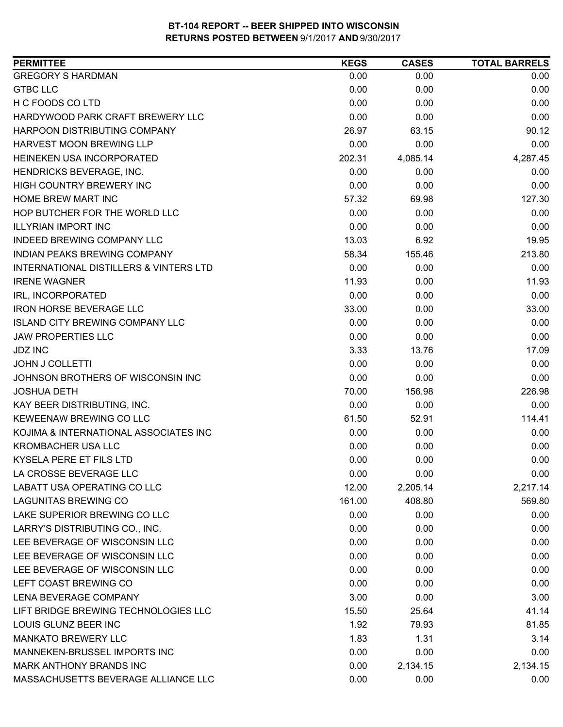| 0.00<br>0.00<br>0.00<br>0.00<br>0.00<br>0.00<br>0.00<br>0.00<br>0.00<br>0.00<br>0.00<br>0.00<br>90.12<br>26.97<br>63.15<br>0.00<br>0.00<br>0.00<br>4,287.45<br>202.31<br>4,085.14<br>0.00<br>0.00<br>0.00<br>0.00<br>0.00<br>0.00<br>127.30<br>57.32<br>69.98<br>0.00<br>0.00<br>0.00<br>0.00<br>0.00<br>0.00<br>13.03<br>6.92<br>19.95<br>213.80<br>58.34<br>155.46<br>0.00<br>0.00<br>0.00<br>11.93<br>11.93<br>0.00<br>0.00<br>0.00<br>0.00<br>33.00<br>33.00<br>0.00<br>0.00<br>0.00<br>0.00<br>0.00<br>0.00<br>0.00<br>3.33<br>13.76<br>17.09<br>0.00<br>0.00<br>0.00<br>0.00<br>0.00<br>0.00<br>70.00<br>156.98<br>226.98<br>0.00<br>0.00<br>0.00<br>114.41<br>61.50<br>52.91<br>0.00<br>0.00<br>0.00<br>0.00<br>0.00<br>0.00<br>0.00<br>0.00<br>0.00<br>0.00<br>0.00<br>0.00<br>12.00<br>2,205.14<br>2,217.14<br>408.80<br>569.80<br>161.00<br>0.00<br>0.00<br>0.00<br>0.00<br>0.00<br>0.00<br>0.00<br>0.00<br>0.00<br>0.00<br>0.00<br>0.00<br>0.00<br>0.00<br>0.00<br>0.00<br>0.00<br>0.00<br>3.00<br>3.00<br>0.00<br>15.50<br>25.64<br>41.14<br>LOUIS GLUNZ BEER INC<br>1.92<br>81.85<br>79.93 | <b>PERMITTEE</b>                                  | <b>KEGS</b> | <b>CASES</b> | <b>TOTAL BARRELS</b> |
|---------------------------------------------------------------------------------------------------------------------------------------------------------------------------------------------------------------------------------------------------------------------------------------------------------------------------------------------------------------------------------------------------------------------------------------------------------------------------------------------------------------------------------------------------------------------------------------------------------------------------------------------------------------------------------------------------------------------------------------------------------------------------------------------------------------------------------------------------------------------------------------------------------------------------------------------------------------------------------------------------------------------------------------------------------------------------------------------------------|---------------------------------------------------|-------------|--------------|----------------------|
|                                                                                                                                                                                                                                                                                                                                                                                                                                                                                                                                                                                                                                                                                                                                                                                                                                                                                                                                                                                                                                                                                                         | <b>GREGORY S HARDMAN</b>                          |             |              |                      |
|                                                                                                                                                                                                                                                                                                                                                                                                                                                                                                                                                                                                                                                                                                                                                                                                                                                                                                                                                                                                                                                                                                         | <b>GTBC LLC</b>                                   |             |              |                      |
|                                                                                                                                                                                                                                                                                                                                                                                                                                                                                                                                                                                                                                                                                                                                                                                                                                                                                                                                                                                                                                                                                                         | H C FOODS CO LTD                                  |             |              |                      |
|                                                                                                                                                                                                                                                                                                                                                                                                                                                                                                                                                                                                                                                                                                                                                                                                                                                                                                                                                                                                                                                                                                         | HARDYWOOD PARK CRAFT BREWERY LLC                  |             |              |                      |
|                                                                                                                                                                                                                                                                                                                                                                                                                                                                                                                                                                                                                                                                                                                                                                                                                                                                                                                                                                                                                                                                                                         | HARPOON DISTRIBUTING COMPANY                      |             |              |                      |
|                                                                                                                                                                                                                                                                                                                                                                                                                                                                                                                                                                                                                                                                                                                                                                                                                                                                                                                                                                                                                                                                                                         | HARVEST MOON BREWING LLP                          |             |              |                      |
|                                                                                                                                                                                                                                                                                                                                                                                                                                                                                                                                                                                                                                                                                                                                                                                                                                                                                                                                                                                                                                                                                                         | HEINEKEN USA INCORPORATED                         |             |              |                      |
|                                                                                                                                                                                                                                                                                                                                                                                                                                                                                                                                                                                                                                                                                                                                                                                                                                                                                                                                                                                                                                                                                                         | HENDRICKS BEVERAGE, INC.                          |             |              |                      |
|                                                                                                                                                                                                                                                                                                                                                                                                                                                                                                                                                                                                                                                                                                                                                                                                                                                                                                                                                                                                                                                                                                         | <b>HIGH COUNTRY BREWERY INC</b>                   |             |              |                      |
|                                                                                                                                                                                                                                                                                                                                                                                                                                                                                                                                                                                                                                                                                                                                                                                                                                                                                                                                                                                                                                                                                                         | HOME BREW MART INC                                |             |              |                      |
|                                                                                                                                                                                                                                                                                                                                                                                                                                                                                                                                                                                                                                                                                                                                                                                                                                                                                                                                                                                                                                                                                                         | HOP BUTCHER FOR THE WORLD LLC                     |             |              |                      |
|                                                                                                                                                                                                                                                                                                                                                                                                                                                                                                                                                                                                                                                                                                                                                                                                                                                                                                                                                                                                                                                                                                         | <b>ILLYRIAN IMPORT INC</b>                        |             |              |                      |
|                                                                                                                                                                                                                                                                                                                                                                                                                                                                                                                                                                                                                                                                                                                                                                                                                                                                                                                                                                                                                                                                                                         | INDEED BREWING COMPANY LLC                        |             |              |                      |
|                                                                                                                                                                                                                                                                                                                                                                                                                                                                                                                                                                                                                                                                                                                                                                                                                                                                                                                                                                                                                                                                                                         | INDIAN PEAKS BREWING COMPANY                      |             |              |                      |
|                                                                                                                                                                                                                                                                                                                                                                                                                                                                                                                                                                                                                                                                                                                                                                                                                                                                                                                                                                                                                                                                                                         | <b>INTERNATIONAL DISTILLERS &amp; VINTERS LTD</b> |             |              |                      |
|                                                                                                                                                                                                                                                                                                                                                                                                                                                                                                                                                                                                                                                                                                                                                                                                                                                                                                                                                                                                                                                                                                         | <b>IRENE WAGNER</b>                               |             |              |                      |
|                                                                                                                                                                                                                                                                                                                                                                                                                                                                                                                                                                                                                                                                                                                                                                                                                                                                                                                                                                                                                                                                                                         | IRL, INCORPORATED                                 |             |              |                      |
|                                                                                                                                                                                                                                                                                                                                                                                                                                                                                                                                                                                                                                                                                                                                                                                                                                                                                                                                                                                                                                                                                                         | <b>IRON HORSE BEVERAGE LLC</b>                    |             |              |                      |
|                                                                                                                                                                                                                                                                                                                                                                                                                                                                                                                                                                                                                                                                                                                                                                                                                                                                                                                                                                                                                                                                                                         | <b>ISLAND CITY BREWING COMPANY LLC</b>            |             |              |                      |
|                                                                                                                                                                                                                                                                                                                                                                                                                                                                                                                                                                                                                                                                                                                                                                                                                                                                                                                                                                                                                                                                                                         | <b>JAW PROPERTIES LLC</b>                         |             |              |                      |
|                                                                                                                                                                                                                                                                                                                                                                                                                                                                                                                                                                                                                                                                                                                                                                                                                                                                                                                                                                                                                                                                                                         | <b>JDZ INC</b>                                    |             |              |                      |
|                                                                                                                                                                                                                                                                                                                                                                                                                                                                                                                                                                                                                                                                                                                                                                                                                                                                                                                                                                                                                                                                                                         | <b>JOHN J COLLETTI</b>                            |             |              |                      |
|                                                                                                                                                                                                                                                                                                                                                                                                                                                                                                                                                                                                                                                                                                                                                                                                                                                                                                                                                                                                                                                                                                         | JOHNSON BROTHERS OF WISCONSIN INC                 |             |              |                      |
|                                                                                                                                                                                                                                                                                                                                                                                                                                                                                                                                                                                                                                                                                                                                                                                                                                                                                                                                                                                                                                                                                                         | <b>JOSHUA DETH</b>                                |             |              |                      |
|                                                                                                                                                                                                                                                                                                                                                                                                                                                                                                                                                                                                                                                                                                                                                                                                                                                                                                                                                                                                                                                                                                         | KAY BEER DISTRIBUTING, INC.                       |             |              |                      |
|                                                                                                                                                                                                                                                                                                                                                                                                                                                                                                                                                                                                                                                                                                                                                                                                                                                                                                                                                                                                                                                                                                         | KEWEENAW BREWING CO LLC                           |             |              |                      |
|                                                                                                                                                                                                                                                                                                                                                                                                                                                                                                                                                                                                                                                                                                                                                                                                                                                                                                                                                                                                                                                                                                         | KOJIMA & INTERNATIONAL ASSOCIATES INC             |             |              |                      |
|                                                                                                                                                                                                                                                                                                                                                                                                                                                                                                                                                                                                                                                                                                                                                                                                                                                                                                                                                                                                                                                                                                         | <b>KROMBACHER USA LLC</b>                         |             |              |                      |
|                                                                                                                                                                                                                                                                                                                                                                                                                                                                                                                                                                                                                                                                                                                                                                                                                                                                                                                                                                                                                                                                                                         | <b>KYSELA PERE ET FILS LTD</b>                    |             |              |                      |
|                                                                                                                                                                                                                                                                                                                                                                                                                                                                                                                                                                                                                                                                                                                                                                                                                                                                                                                                                                                                                                                                                                         | LA CROSSE BEVERAGE LLC                            |             |              |                      |
|                                                                                                                                                                                                                                                                                                                                                                                                                                                                                                                                                                                                                                                                                                                                                                                                                                                                                                                                                                                                                                                                                                         | LABATT USA OPERATING CO LLC                       |             |              |                      |
|                                                                                                                                                                                                                                                                                                                                                                                                                                                                                                                                                                                                                                                                                                                                                                                                                                                                                                                                                                                                                                                                                                         | <b>LAGUNITAS BREWING CO</b>                       |             |              |                      |
|                                                                                                                                                                                                                                                                                                                                                                                                                                                                                                                                                                                                                                                                                                                                                                                                                                                                                                                                                                                                                                                                                                         | LAKE SUPERIOR BREWING CO LLC                      |             |              |                      |
|                                                                                                                                                                                                                                                                                                                                                                                                                                                                                                                                                                                                                                                                                                                                                                                                                                                                                                                                                                                                                                                                                                         | LARRY'S DISTRIBUTING CO., INC.                    |             |              |                      |
|                                                                                                                                                                                                                                                                                                                                                                                                                                                                                                                                                                                                                                                                                                                                                                                                                                                                                                                                                                                                                                                                                                         | LEE BEVERAGE OF WISCONSIN LLC                     |             |              |                      |
|                                                                                                                                                                                                                                                                                                                                                                                                                                                                                                                                                                                                                                                                                                                                                                                                                                                                                                                                                                                                                                                                                                         | LEE BEVERAGE OF WISCONSIN LLC                     |             |              |                      |
|                                                                                                                                                                                                                                                                                                                                                                                                                                                                                                                                                                                                                                                                                                                                                                                                                                                                                                                                                                                                                                                                                                         | LEE BEVERAGE OF WISCONSIN LLC                     |             |              |                      |
|                                                                                                                                                                                                                                                                                                                                                                                                                                                                                                                                                                                                                                                                                                                                                                                                                                                                                                                                                                                                                                                                                                         | LEFT COAST BREWING CO                             |             |              |                      |
|                                                                                                                                                                                                                                                                                                                                                                                                                                                                                                                                                                                                                                                                                                                                                                                                                                                                                                                                                                                                                                                                                                         | LENA BEVERAGE COMPANY                             |             |              |                      |
|                                                                                                                                                                                                                                                                                                                                                                                                                                                                                                                                                                                                                                                                                                                                                                                                                                                                                                                                                                                                                                                                                                         | LIFT BRIDGE BREWING TECHNOLOGIES LLC              |             |              |                      |
|                                                                                                                                                                                                                                                                                                                                                                                                                                                                                                                                                                                                                                                                                                                                                                                                                                                                                                                                                                                                                                                                                                         |                                                   |             |              |                      |
| 1.83<br>1.31<br>3.14                                                                                                                                                                                                                                                                                                                                                                                                                                                                                                                                                                                                                                                                                                                                                                                                                                                                                                                                                                                                                                                                                    | <b>MANKATO BREWERY LLC</b>                        |             |              |                      |
| 0.00<br>0.00<br>0.00                                                                                                                                                                                                                                                                                                                                                                                                                                                                                                                                                                                                                                                                                                                                                                                                                                                                                                                                                                                                                                                                                    | MANNEKEN-BRUSSEL IMPORTS INC                      |             |              |                      |
| 0.00<br>2,134.15<br>2,134.15                                                                                                                                                                                                                                                                                                                                                                                                                                                                                                                                                                                                                                                                                                                                                                                                                                                                                                                                                                                                                                                                            | MARK ANTHONY BRANDS INC                           |             |              |                      |
| 0.00<br>0.00<br>0.00                                                                                                                                                                                                                                                                                                                                                                                                                                                                                                                                                                                                                                                                                                                                                                                                                                                                                                                                                                                                                                                                                    | MASSACHUSETTS BEVERAGE ALLIANCE LLC               |             |              |                      |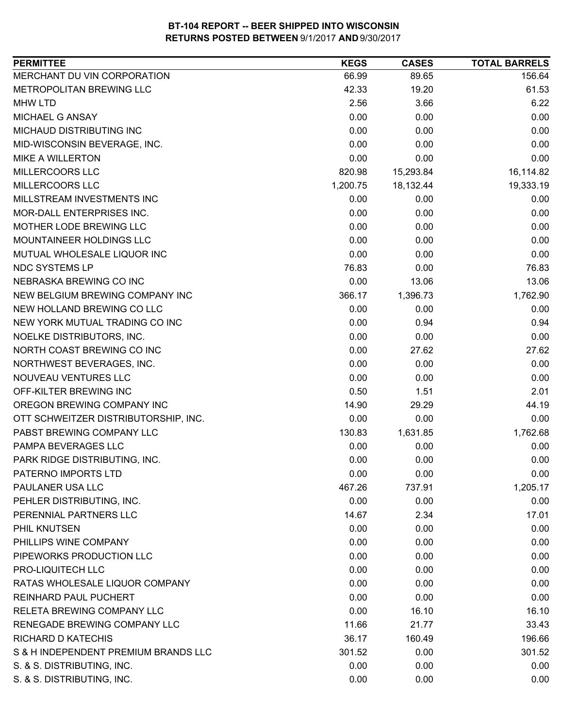| <b>PERMITTEE</b>                     | <b>KEGS</b> | <b>CASES</b> | <b>TOTAL BARRELS</b> |
|--------------------------------------|-------------|--------------|----------------------|
| MERCHANT DU VIN CORPORATION          | 66.99       | 89.65        | 156.64               |
| METROPOLITAN BREWING LLC             | 42.33       | 19.20        | 61.53                |
| <b>MHW LTD</b>                       | 2.56        | 3.66         | 6.22                 |
| MICHAEL G ANSAY                      | 0.00        | 0.00         | 0.00                 |
| MICHAUD DISTRIBUTING INC             | 0.00        | 0.00         | 0.00                 |
| MID-WISCONSIN BEVERAGE, INC.         | 0.00        | 0.00         | 0.00                 |
| <b>MIKE A WILLERTON</b>              | 0.00        | 0.00         | 0.00                 |
| MILLERCOORS LLC                      | 820.98      | 15,293.84    | 16,114.82            |
| MILLERCOORS LLC                      | 1,200.75    | 18,132.44    | 19,333.19            |
| MILLSTREAM INVESTMENTS INC           | 0.00        | 0.00         | 0.00                 |
| MOR-DALL ENTERPRISES INC.            | 0.00        | 0.00         | 0.00                 |
| MOTHER LODE BREWING LLC              | 0.00        | 0.00         | 0.00                 |
| MOUNTAINEER HOLDINGS LLC             | 0.00        | 0.00         | 0.00                 |
| MUTUAL WHOLESALE LIQUOR INC          | 0.00        | 0.00         | 0.00                 |
| NDC SYSTEMS LP                       | 76.83       | 0.00         | 76.83                |
| NEBRASKA BREWING CO INC              | 0.00        | 13.06        | 13.06                |
| NEW BELGIUM BREWING COMPANY INC      | 366.17      | 1,396.73     | 1,762.90             |
| NEW HOLLAND BREWING CO LLC           | 0.00        | 0.00         | 0.00                 |
| NEW YORK MUTUAL TRADING CO INC       | 0.00        | 0.94         | 0.94                 |
| NOELKE DISTRIBUTORS, INC.            | 0.00        | 0.00         | 0.00                 |
| NORTH COAST BREWING CO INC           | 0.00        | 27.62        | 27.62                |
| NORTHWEST BEVERAGES, INC.            | 0.00        | 0.00         | 0.00                 |
| NOUVEAU VENTURES LLC                 | 0.00        | 0.00         | 0.00                 |
| OFF-KILTER BREWING INC               | 0.50        | 1.51         | 2.01                 |
| OREGON BREWING COMPANY INC           | 14.90       | 29.29        | 44.19                |
| OTT SCHWEITZER DISTRIBUTORSHIP, INC. | 0.00        | 0.00         | 0.00                 |
| PABST BREWING COMPANY LLC            | 130.83      | 1,631.85     | 1,762.68             |
| PAMPA BEVERAGES LLC                  | 0.00        | 0.00         | 0.00                 |
| PARK RIDGE DISTRIBUTING, INC.        | 0.00        | 0.00         | 0.00                 |
| PATERNO IMPORTS LTD                  | 0.00        | 0.00         | 0.00                 |
| PAULANER USA LLC                     | 467.26      | 737.91       | 1,205.17             |
| PEHLER DISTRIBUTING, INC.            | 0.00        | 0.00         | 0.00                 |
| PERENNIAL PARTNERS LLC               | 14.67       | 2.34         | 17.01                |
| PHIL KNUTSEN                         | 0.00        | 0.00         | 0.00                 |
| PHILLIPS WINE COMPANY                | 0.00        | 0.00         | 0.00                 |
| PIPEWORKS PRODUCTION LLC             | 0.00        | 0.00         | 0.00                 |
| PRO-LIQUITECH LLC                    | 0.00        | 0.00         | 0.00                 |
| RATAS WHOLESALE LIQUOR COMPANY       | 0.00        | 0.00         | 0.00                 |
| <b>REINHARD PAUL PUCHERT</b>         | 0.00        | 0.00         | 0.00                 |
| RELETA BREWING COMPANY LLC           | 0.00        | 16.10        | 16.10                |
| RENEGADE BREWING COMPANY LLC         | 11.66       | 21.77        | 33.43                |
| <b>RICHARD D KATECHIS</b>            | 36.17       | 160.49       | 196.66               |
| S & H INDEPENDENT PREMIUM BRANDS LLC | 301.52      | 0.00         | 301.52               |
| S. & S. DISTRIBUTING, INC.           | 0.00        | 0.00         | 0.00                 |
| S. & S. DISTRIBUTING, INC.           | 0.00        | 0.00         | 0.00                 |
|                                      |             |              |                      |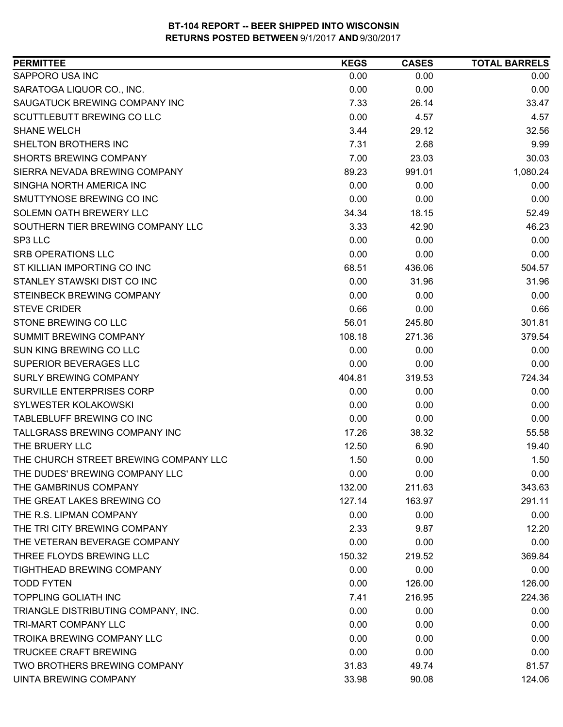| SAPPORO USA INC<br>0.00<br>0.00<br>0.00<br>SARATOGA LIQUOR CO., INC.<br>0.00<br>0.00<br>0.00<br>SAUGATUCK BREWING COMPANY INC<br>7.33<br>26.14<br>33.47<br>0.00<br><b>SCUTTLEBUTT BREWING CO LLC</b><br>4.57<br>4.57<br><b>SHANE WELCH</b><br>3.44<br>29.12<br>32.56<br>SHELTON BROTHERS INC<br>9.99<br>7.31<br>2.68<br><b>SHORTS BREWING COMPANY</b><br>7.00<br>23.03<br>30.03<br>991.01<br>1,080.24<br>SIERRA NEVADA BREWING COMPANY<br>89.23<br>SINGHA NORTH AMERICA INC<br>0.00<br>0.00<br>0.00<br>SMUTTYNOSE BREWING CO INC<br>0.00<br>0.00<br>0.00<br>SOLEMN OATH BREWERY LLC<br>52.49<br>34.34<br>18.15<br>SOUTHERN TIER BREWING COMPANY LLC<br>46.23<br>3.33<br>42.90<br>0.00<br>0.00<br>SP3 LLC<br>0.00<br><b>SRB OPERATIONS LLC</b><br>0.00<br>0.00<br>0.00<br>ST KILLIAN IMPORTING CO INC<br>504.57<br>68.51<br>436.06<br>STANLEY STAWSKI DIST CO INC<br>0.00<br>31.96<br>31.96<br>STEINBECK BREWING COMPANY<br>0.00<br>0.00<br>0.00<br><b>STEVE CRIDER</b><br>0.66<br>0.00<br>0.66<br>STONE BREWING CO LLC<br>56.01<br>245.80<br>301.81<br>379.54<br><b>SUMMIT BREWING COMPANY</b><br>108.18<br>271.36<br>0.00<br>0.00<br>0.00<br>0.00<br>0.00<br>0.00<br><b>SURLY BREWING COMPANY</b><br>724.34<br>404.81<br>319.53<br>SURVILLE ENTERPRISES CORP<br>0.00<br>0.00<br>0.00<br>SYLWESTER KOLAKOWSKI<br>0.00<br>0.00<br>0.00<br>TABLEBLUFF BREWING CO INC<br>0.00<br>0.00<br>0.00<br>TALLGRASS BREWING COMPANY INC<br>17.26<br>38.32<br>55.58<br>THE BRUERY LLC<br>12.50<br>6.90<br>19.40<br>THE CHURCH STREET BREWING COMPANY LLC<br>1.50<br>0.00<br>1.50<br>THE DUDES' BREWING COMPANY LLC<br>0.00<br>0.00<br>0.00<br>132.00<br>211.63<br>343.63<br>127.14<br>163.97<br>291.11<br>THE R.S. LIPMAN COMPANY<br>0.00<br>0.00<br>0.00<br>THE TRI CITY BREWING COMPANY<br>12.20<br>2.33<br>9.87<br>0.00<br>0.00<br>0.00<br>THREE FLOYDS BREWING LLC<br>150.32<br>369.84<br>219.52<br>TIGHTHEAD BREWING COMPANY<br>0.00<br>0.00<br>0.00<br><b>TODD FYTEN</b><br>0.00<br>126.00<br>126.00<br><b>TOPPLING GOLIATH INC</b><br>7.41<br>216.95<br>224.36<br>TRIANGLE DISTRIBUTING COMPANY, INC.<br>0.00<br>0.00<br>0.00<br>TRI-MART COMPANY LLC<br>0.00<br>0.00<br>0.00<br>TROIKA BREWING COMPANY LLC<br>0.00<br>0.00<br>0.00<br><b>TRUCKEE CRAFT BREWING</b><br>0.00<br>0.00<br>0.00<br>TWO BROTHERS BREWING COMPANY<br>31.83<br>49.74<br>81.57 | <b>PERMITTEE</b>             | <b>KEGS</b> | <b>CASES</b> | <b>TOTAL BARRELS</b> |
|--------------------------------------------------------------------------------------------------------------------------------------------------------------------------------------------------------------------------------------------------------------------------------------------------------------------------------------------------------------------------------------------------------------------------------------------------------------------------------------------------------------------------------------------------------------------------------------------------------------------------------------------------------------------------------------------------------------------------------------------------------------------------------------------------------------------------------------------------------------------------------------------------------------------------------------------------------------------------------------------------------------------------------------------------------------------------------------------------------------------------------------------------------------------------------------------------------------------------------------------------------------------------------------------------------------------------------------------------------------------------------------------------------------------------------------------------------------------------------------------------------------------------------------------------------------------------------------------------------------------------------------------------------------------------------------------------------------------------------------------------------------------------------------------------------------------------------------------------------------------------------------------------------------------------------------------------------------------------------------------------------------------------------------------------------------------------------------------------------------------------------------------------------------------------------------------------------------------------------------------------------------------------------------------------------------------------------------------------|------------------------------|-------------|--------------|----------------------|
|                                                                                                                                                                                                                                                                                                                                                                                                                                                                                                                                                                                                                                                                                                                                                                                                                                                                                                                                                                                                                                                                                                                                                                                                                                                                                                                                                                                                                                                                                                                                                                                                                                                                                                                                                                                                                                                                                                                                                                                                                                                                                                                                                                                                                                                                                                                                                  |                              |             |              |                      |
|                                                                                                                                                                                                                                                                                                                                                                                                                                                                                                                                                                                                                                                                                                                                                                                                                                                                                                                                                                                                                                                                                                                                                                                                                                                                                                                                                                                                                                                                                                                                                                                                                                                                                                                                                                                                                                                                                                                                                                                                                                                                                                                                                                                                                                                                                                                                                  |                              |             |              |                      |
|                                                                                                                                                                                                                                                                                                                                                                                                                                                                                                                                                                                                                                                                                                                                                                                                                                                                                                                                                                                                                                                                                                                                                                                                                                                                                                                                                                                                                                                                                                                                                                                                                                                                                                                                                                                                                                                                                                                                                                                                                                                                                                                                                                                                                                                                                                                                                  |                              |             |              |                      |
|                                                                                                                                                                                                                                                                                                                                                                                                                                                                                                                                                                                                                                                                                                                                                                                                                                                                                                                                                                                                                                                                                                                                                                                                                                                                                                                                                                                                                                                                                                                                                                                                                                                                                                                                                                                                                                                                                                                                                                                                                                                                                                                                                                                                                                                                                                                                                  |                              |             |              |                      |
|                                                                                                                                                                                                                                                                                                                                                                                                                                                                                                                                                                                                                                                                                                                                                                                                                                                                                                                                                                                                                                                                                                                                                                                                                                                                                                                                                                                                                                                                                                                                                                                                                                                                                                                                                                                                                                                                                                                                                                                                                                                                                                                                                                                                                                                                                                                                                  |                              |             |              |                      |
|                                                                                                                                                                                                                                                                                                                                                                                                                                                                                                                                                                                                                                                                                                                                                                                                                                                                                                                                                                                                                                                                                                                                                                                                                                                                                                                                                                                                                                                                                                                                                                                                                                                                                                                                                                                                                                                                                                                                                                                                                                                                                                                                                                                                                                                                                                                                                  |                              |             |              |                      |
|                                                                                                                                                                                                                                                                                                                                                                                                                                                                                                                                                                                                                                                                                                                                                                                                                                                                                                                                                                                                                                                                                                                                                                                                                                                                                                                                                                                                                                                                                                                                                                                                                                                                                                                                                                                                                                                                                                                                                                                                                                                                                                                                                                                                                                                                                                                                                  |                              |             |              |                      |
|                                                                                                                                                                                                                                                                                                                                                                                                                                                                                                                                                                                                                                                                                                                                                                                                                                                                                                                                                                                                                                                                                                                                                                                                                                                                                                                                                                                                                                                                                                                                                                                                                                                                                                                                                                                                                                                                                                                                                                                                                                                                                                                                                                                                                                                                                                                                                  |                              |             |              |                      |
|                                                                                                                                                                                                                                                                                                                                                                                                                                                                                                                                                                                                                                                                                                                                                                                                                                                                                                                                                                                                                                                                                                                                                                                                                                                                                                                                                                                                                                                                                                                                                                                                                                                                                                                                                                                                                                                                                                                                                                                                                                                                                                                                                                                                                                                                                                                                                  |                              |             |              |                      |
|                                                                                                                                                                                                                                                                                                                                                                                                                                                                                                                                                                                                                                                                                                                                                                                                                                                                                                                                                                                                                                                                                                                                                                                                                                                                                                                                                                                                                                                                                                                                                                                                                                                                                                                                                                                                                                                                                                                                                                                                                                                                                                                                                                                                                                                                                                                                                  |                              |             |              |                      |
|                                                                                                                                                                                                                                                                                                                                                                                                                                                                                                                                                                                                                                                                                                                                                                                                                                                                                                                                                                                                                                                                                                                                                                                                                                                                                                                                                                                                                                                                                                                                                                                                                                                                                                                                                                                                                                                                                                                                                                                                                                                                                                                                                                                                                                                                                                                                                  |                              |             |              |                      |
|                                                                                                                                                                                                                                                                                                                                                                                                                                                                                                                                                                                                                                                                                                                                                                                                                                                                                                                                                                                                                                                                                                                                                                                                                                                                                                                                                                                                                                                                                                                                                                                                                                                                                                                                                                                                                                                                                                                                                                                                                                                                                                                                                                                                                                                                                                                                                  |                              |             |              |                      |
|                                                                                                                                                                                                                                                                                                                                                                                                                                                                                                                                                                                                                                                                                                                                                                                                                                                                                                                                                                                                                                                                                                                                                                                                                                                                                                                                                                                                                                                                                                                                                                                                                                                                                                                                                                                                                                                                                                                                                                                                                                                                                                                                                                                                                                                                                                                                                  |                              |             |              |                      |
|                                                                                                                                                                                                                                                                                                                                                                                                                                                                                                                                                                                                                                                                                                                                                                                                                                                                                                                                                                                                                                                                                                                                                                                                                                                                                                                                                                                                                                                                                                                                                                                                                                                                                                                                                                                                                                                                                                                                                                                                                                                                                                                                                                                                                                                                                                                                                  |                              |             |              |                      |
|                                                                                                                                                                                                                                                                                                                                                                                                                                                                                                                                                                                                                                                                                                                                                                                                                                                                                                                                                                                                                                                                                                                                                                                                                                                                                                                                                                                                                                                                                                                                                                                                                                                                                                                                                                                                                                                                                                                                                                                                                                                                                                                                                                                                                                                                                                                                                  |                              |             |              |                      |
|                                                                                                                                                                                                                                                                                                                                                                                                                                                                                                                                                                                                                                                                                                                                                                                                                                                                                                                                                                                                                                                                                                                                                                                                                                                                                                                                                                                                                                                                                                                                                                                                                                                                                                                                                                                                                                                                                                                                                                                                                                                                                                                                                                                                                                                                                                                                                  |                              |             |              |                      |
|                                                                                                                                                                                                                                                                                                                                                                                                                                                                                                                                                                                                                                                                                                                                                                                                                                                                                                                                                                                                                                                                                                                                                                                                                                                                                                                                                                                                                                                                                                                                                                                                                                                                                                                                                                                                                                                                                                                                                                                                                                                                                                                                                                                                                                                                                                                                                  |                              |             |              |                      |
|                                                                                                                                                                                                                                                                                                                                                                                                                                                                                                                                                                                                                                                                                                                                                                                                                                                                                                                                                                                                                                                                                                                                                                                                                                                                                                                                                                                                                                                                                                                                                                                                                                                                                                                                                                                                                                                                                                                                                                                                                                                                                                                                                                                                                                                                                                                                                  |                              |             |              |                      |
|                                                                                                                                                                                                                                                                                                                                                                                                                                                                                                                                                                                                                                                                                                                                                                                                                                                                                                                                                                                                                                                                                                                                                                                                                                                                                                                                                                                                                                                                                                                                                                                                                                                                                                                                                                                                                                                                                                                                                                                                                                                                                                                                                                                                                                                                                                                                                  |                              |             |              |                      |
|                                                                                                                                                                                                                                                                                                                                                                                                                                                                                                                                                                                                                                                                                                                                                                                                                                                                                                                                                                                                                                                                                                                                                                                                                                                                                                                                                                                                                                                                                                                                                                                                                                                                                                                                                                                                                                                                                                                                                                                                                                                                                                                                                                                                                                                                                                                                                  |                              |             |              |                      |
|                                                                                                                                                                                                                                                                                                                                                                                                                                                                                                                                                                                                                                                                                                                                                                                                                                                                                                                                                                                                                                                                                                                                                                                                                                                                                                                                                                                                                                                                                                                                                                                                                                                                                                                                                                                                                                                                                                                                                                                                                                                                                                                                                                                                                                                                                                                                                  | SUN KING BREWING CO LLC      |             |              |                      |
|                                                                                                                                                                                                                                                                                                                                                                                                                                                                                                                                                                                                                                                                                                                                                                                                                                                                                                                                                                                                                                                                                                                                                                                                                                                                                                                                                                                                                                                                                                                                                                                                                                                                                                                                                                                                                                                                                                                                                                                                                                                                                                                                                                                                                                                                                                                                                  | SUPERIOR BEVERAGES LLC       |             |              |                      |
|                                                                                                                                                                                                                                                                                                                                                                                                                                                                                                                                                                                                                                                                                                                                                                                                                                                                                                                                                                                                                                                                                                                                                                                                                                                                                                                                                                                                                                                                                                                                                                                                                                                                                                                                                                                                                                                                                                                                                                                                                                                                                                                                                                                                                                                                                                                                                  |                              |             |              |                      |
|                                                                                                                                                                                                                                                                                                                                                                                                                                                                                                                                                                                                                                                                                                                                                                                                                                                                                                                                                                                                                                                                                                                                                                                                                                                                                                                                                                                                                                                                                                                                                                                                                                                                                                                                                                                                                                                                                                                                                                                                                                                                                                                                                                                                                                                                                                                                                  |                              |             |              |                      |
|                                                                                                                                                                                                                                                                                                                                                                                                                                                                                                                                                                                                                                                                                                                                                                                                                                                                                                                                                                                                                                                                                                                                                                                                                                                                                                                                                                                                                                                                                                                                                                                                                                                                                                                                                                                                                                                                                                                                                                                                                                                                                                                                                                                                                                                                                                                                                  |                              |             |              |                      |
|                                                                                                                                                                                                                                                                                                                                                                                                                                                                                                                                                                                                                                                                                                                                                                                                                                                                                                                                                                                                                                                                                                                                                                                                                                                                                                                                                                                                                                                                                                                                                                                                                                                                                                                                                                                                                                                                                                                                                                                                                                                                                                                                                                                                                                                                                                                                                  |                              |             |              |                      |
|                                                                                                                                                                                                                                                                                                                                                                                                                                                                                                                                                                                                                                                                                                                                                                                                                                                                                                                                                                                                                                                                                                                                                                                                                                                                                                                                                                                                                                                                                                                                                                                                                                                                                                                                                                                                                                                                                                                                                                                                                                                                                                                                                                                                                                                                                                                                                  |                              |             |              |                      |
|                                                                                                                                                                                                                                                                                                                                                                                                                                                                                                                                                                                                                                                                                                                                                                                                                                                                                                                                                                                                                                                                                                                                                                                                                                                                                                                                                                                                                                                                                                                                                                                                                                                                                                                                                                                                                                                                                                                                                                                                                                                                                                                                                                                                                                                                                                                                                  |                              |             |              |                      |
|                                                                                                                                                                                                                                                                                                                                                                                                                                                                                                                                                                                                                                                                                                                                                                                                                                                                                                                                                                                                                                                                                                                                                                                                                                                                                                                                                                                                                                                                                                                                                                                                                                                                                                                                                                                                                                                                                                                                                                                                                                                                                                                                                                                                                                                                                                                                                  |                              |             |              |                      |
|                                                                                                                                                                                                                                                                                                                                                                                                                                                                                                                                                                                                                                                                                                                                                                                                                                                                                                                                                                                                                                                                                                                                                                                                                                                                                                                                                                                                                                                                                                                                                                                                                                                                                                                                                                                                                                                                                                                                                                                                                                                                                                                                                                                                                                                                                                                                                  |                              |             |              |                      |
|                                                                                                                                                                                                                                                                                                                                                                                                                                                                                                                                                                                                                                                                                                                                                                                                                                                                                                                                                                                                                                                                                                                                                                                                                                                                                                                                                                                                                                                                                                                                                                                                                                                                                                                                                                                                                                                                                                                                                                                                                                                                                                                                                                                                                                                                                                                                                  | THE GAMBRINUS COMPANY        |             |              |                      |
|                                                                                                                                                                                                                                                                                                                                                                                                                                                                                                                                                                                                                                                                                                                                                                                                                                                                                                                                                                                                                                                                                                                                                                                                                                                                                                                                                                                                                                                                                                                                                                                                                                                                                                                                                                                                                                                                                                                                                                                                                                                                                                                                                                                                                                                                                                                                                  | THE GREAT LAKES BREWING CO   |             |              |                      |
|                                                                                                                                                                                                                                                                                                                                                                                                                                                                                                                                                                                                                                                                                                                                                                                                                                                                                                                                                                                                                                                                                                                                                                                                                                                                                                                                                                                                                                                                                                                                                                                                                                                                                                                                                                                                                                                                                                                                                                                                                                                                                                                                                                                                                                                                                                                                                  |                              |             |              |                      |
|                                                                                                                                                                                                                                                                                                                                                                                                                                                                                                                                                                                                                                                                                                                                                                                                                                                                                                                                                                                                                                                                                                                                                                                                                                                                                                                                                                                                                                                                                                                                                                                                                                                                                                                                                                                                                                                                                                                                                                                                                                                                                                                                                                                                                                                                                                                                                  |                              |             |              |                      |
|                                                                                                                                                                                                                                                                                                                                                                                                                                                                                                                                                                                                                                                                                                                                                                                                                                                                                                                                                                                                                                                                                                                                                                                                                                                                                                                                                                                                                                                                                                                                                                                                                                                                                                                                                                                                                                                                                                                                                                                                                                                                                                                                                                                                                                                                                                                                                  | THE VETERAN BEVERAGE COMPANY |             |              |                      |
|                                                                                                                                                                                                                                                                                                                                                                                                                                                                                                                                                                                                                                                                                                                                                                                                                                                                                                                                                                                                                                                                                                                                                                                                                                                                                                                                                                                                                                                                                                                                                                                                                                                                                                                                                                                                                                                                                                                                                                                                                                                                                                                                                                                                                                                                                                                                                  |                              |             |              |                      |
|                                                                                                                                                                                                                                                                                                                                                                                                                                                                                                                                                                                                                                                                                                                                                                                                                                                                                                                                                                                                                                                                                                                                                                                                                                                                                                                                                                                                                                                                                                                                                                                                                                                                                                                                                                                                                                                                                                                                                                                                                                                                                                                                                                                                                                                                                                                                                  |                              |             |              |                      |
|                                                                                                                                                                                                                                                                                                                                                                                                                                                                                                                                                                                                                                                                                                                                                                                                                                                                                                                                                                                                                                                                                                                                                                                                                                                                                                                                                                                                                                                                                                                                                                                                                                                                                                                                                                                                                                                                                                                                                                                                                                                                                                                                                                                                                                                                                                                                                  |                              |             |              |                      |
|                                                                                                                                                                                                                                                                                                                                                                                                                                                                                                                                                                                                                                                                                                                                                                                                                                                                                                                                                                                                                                                                                                                                                                                                                                                                                                                                                                                                                                                                                                                                                                                                                                                                                                                                                                                                                                                                                                                                                                                                                                                                                                                                                                                                                                                                                                                                                  |                              |             |              |                      |
|                                                                                                                                                                                                                                                                                                                                                                                                                                                                                                                                                                                                                                                                                                                                                                                                                                                                                                                                                                                                                                                                                                                                                                                                                                                                                                                                                                                                                                                                                                                                                                                                                                                                                                                                                                                                                                                                                                                                                                                                                                                                                                                                                                                                                                                                                                                                                  |                              |             |              |                      |
|                                                                                                                                                                                                                                                                                                                                                                                                                                                                                                                                                                                                                                                                                                                                                                                                                                                                                                                                                                                                                                                                                                                                                                                                                                                                                                                                                                                                                                                                                                                                                                                                                                                                                                                                                                                                                                                                                                                                                                                                                                                                                                                                                                                                                                                                                                                                                  |                              |             |              |                      |
|                                                                                                                                                                                                                                                                                                                                                                                                                                                                                                                                                                                                                                                                                                                                                                                                                                                                                                                                                                                                                                                                                                                                                                                                                                                                                                                                                                                                                                                                                                                                                                                                                                                                                                                                                                                                                                                                                                                                                                                                                                                                                                                                                                                                                                                                                                                                                  |                              |             |              |                      |
|                                                                                                                                                                                                                                                                                                                                                                                                                                                                                                                                                                                                                                                                                                                                                                                                                                                                                                                                                                                                                                                                                                                                                                                                                                                                                                                                                                                                                                                                                                                                                                                                                                                                                                                                                                                                                                                                                                                                                                                                                                                                                                                                                                                                                                                                                                                                                  |                              |             |              |                      |
|                                                                                                                                                                                                                                                                                                                                                                                                                                                                                                                                                                                                                                                                                                                                                                                                                                                                                                                                                                                                                                                                                                                                                                                                                                                                                                                                                                                                                                                                                                                                                                                                                                                                                                                                                                                                                                                                                                                                                                                                                                                                                                                                                                                                                                                                                                                                                  |                              |             |              |                      |
|                                                                                                                                                                                                                                                                                                                                                                                                                                                                                                                                                                                                                                                                                                                                                                                                                                                                                                                                                                                                                                                                                                                                                                                                                                                                                                                                                                                                                                                                                                                                                                                                                                                                                                                                                                                                                                                                                                                                                                                                                                                                                                                                                                                                                                                                                                                                                  | <b>UINTA BREWING COMPANY</b> | 33.98       | 90.08        | 124.06               |